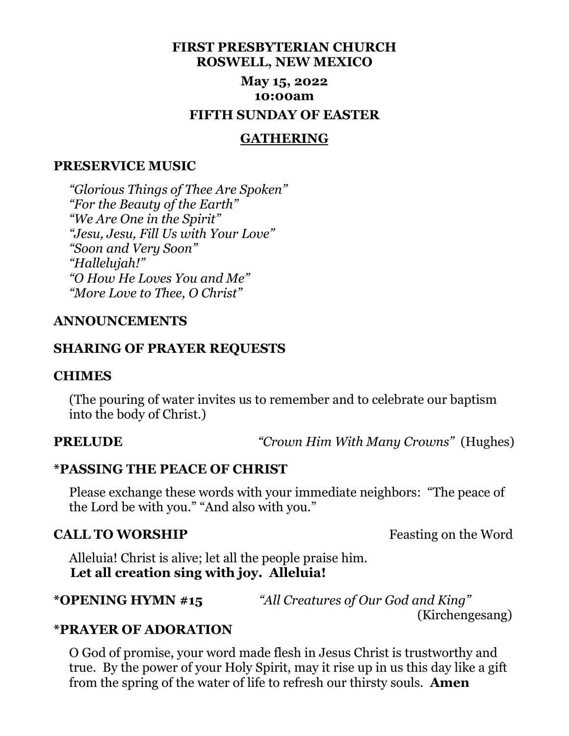# **FIRST PRESBYTERIAN CHURCH ROSWELL, NEW MEXICO May 15, 2022 10:00am FIFTH SUNDAY OF EASTER**

#### **GATHERING**

#### **PRESERVICE MUSIC**

 *"Glorious Things of Thee Are Spoken" "For the Beauty of the Earth" "We Are One in the Spirit" "Jesu, Jesu, Fill Us with Your Love" "Soon and Very Soon" "Hallelujah!" "O How He Loves You and Me" "More Love to Thee, O Christ"*

#### **ANNOUNCEMENTS**

#### **SHARING OF PRAYER REQUESTS**

#### **CHIMES**

 (The pouring of water invites us to remember and to celebrate our baptism into the body of Christ.)

**PRELUDE** *"Crown Him With Many Crowns"* (Hughes)

#### **\*PASSING THE PEACE OF CHRIST**

 Please exchange these words with your immediate neighbors: "The peace of the Lord be with you." "And also with you."

## **CALL TO WORSHIP Feasting on the Word**

 Alleluia! Christ is alive; let all the people praise him.  **Let all creation sing with joy. Alleluia!**

**\*OPENING HYMN #15** *"All Creatures of Our God and King"* 

(Kirchengesang)

### **\*PRAYER OF ADORATION**

 O God of promise, your word made flesh in Jesus Christ is trustworthy and true. By the power of your Holy Spirit, may it rise up in us this day like a gift from the spring of the water of life to refresh our thirsty souls. **Amen**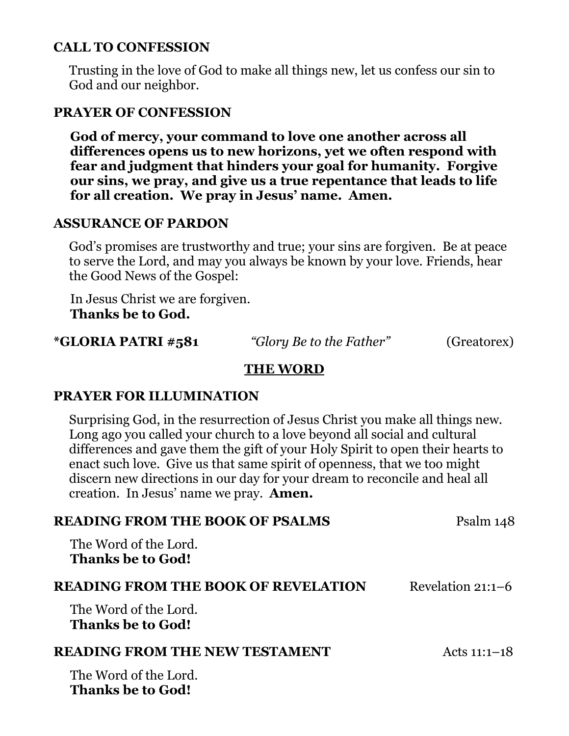# **CALL TO CONFESSION**

 Trusting in the love of God to make all things new, let us confess our sin to God and our neighbor.

# **PRAYER OF CONFESSION**

 **God of mercy, your command to love one another across all differences opens us to new horizons, yet we often respond with fear and judgment that hinders your goal for humanity. Forgive our sins, we pray, and give us a true repentance that leads to life for all creation. We pray in Jesus' name. Amen.**

# **ASSURANCE OF PARDON**

 God's promises are trustworthy and true; your sins are forgiven. Be at peace to serve the Lord, and may you always be known by your love. Friends, hear the Good News of the Gospel:

In Jesus Christ we are forgiven.  **Thanks be to God.**

# **\*GLORIA PATRI #581** *"Glory Be to the Father"* (Greatorex)

# **THE WORD**

## **PRAYER FOR ILLUMINATION**

 Surprising God, in the resurrection of Jesus Christ you make all things new. Long ago you called your church to a love beyond all social and cultural differences and gave them the gift of your Holy Spirit to open their hearts to enact such love. Give us that same spirit of openness, that we too might discern new directions in our day for your dream to reconcile and heal all creation. In Jesus' name we pray. **Amen.**

| <b>READING FROM THE BOOK OF PSALMS</b>            | Psalm 148           |
|---------------------------------------------------|---------------------|
| The Word of the Lord.<br><b>Thanks be to God!</b> |                     |
| <b>READING FROM THE BOOK OF REVELATION</b>        | Revelation $21:1-6$ |
| The Word of the Lord.<br><b>Thanks be to God!</b> |                     |
| <b>READING FROM THE NEW TESTAMENT</b>             | Acts $11:1-18$      |
| The Word of the Lord.<br><b>Thanks be to God!</b> |                     |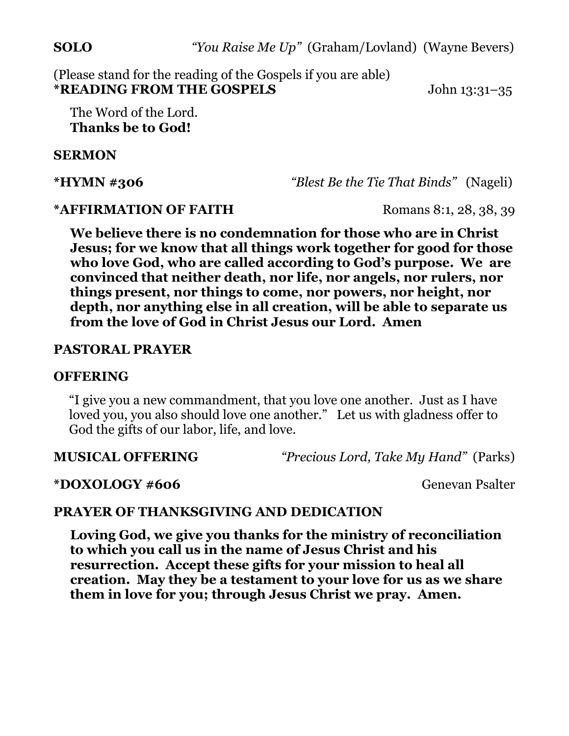(Please stand for the reading of the Gospels if you are able) **\*READING FROM THE GOSPELS** John 13:31–35

The Word of the Lord. **Thanks be to God!**

# **SERMON**

**\*HYMN #306** *"Blest Be the Tie That Binds"* (Nageli)

## **\*AFFIRMATION OF FAITH** Romans 8:1, 28, 38, 39

 **We believe there is no condemnation for those who are in Christ Jesus; for we know that all things work together for good for those who love God, who are called according to God's purpose. We are convinced that neither death, nor life, nor angels, nor rulers, nor things present, nor things to come, nor powers, nor height, nor depth, nor anything else in all creation, will be able to separate us from the love of God in Christ Jesus our Lord. Amen**

# **PASTORAL PRAYER**

## **OFFERING**

 "I give you a new commandment, that you love one another. Just as I have loved you, you also should love one another." Let us with gladness offer to God the gifts of our labor, life, and love.

**MUSICAL OFFERING** *"Precious Lord, Take My Hand"* (Parks)

# **\*DOXOLOGY #606** Genevan Psalter

# **PRAYER OF THANKSGIVING AND DEDICATION**

 **Loving God, we give you thanks for the ministry of reconciliation to which you call us in the name of Jesus Christ and his resurrection. Accept these gifts for your mission to heal all creation. May they be a testament to your love for us as we share them in love for you; through Jesus Christ we pray. Amen.**